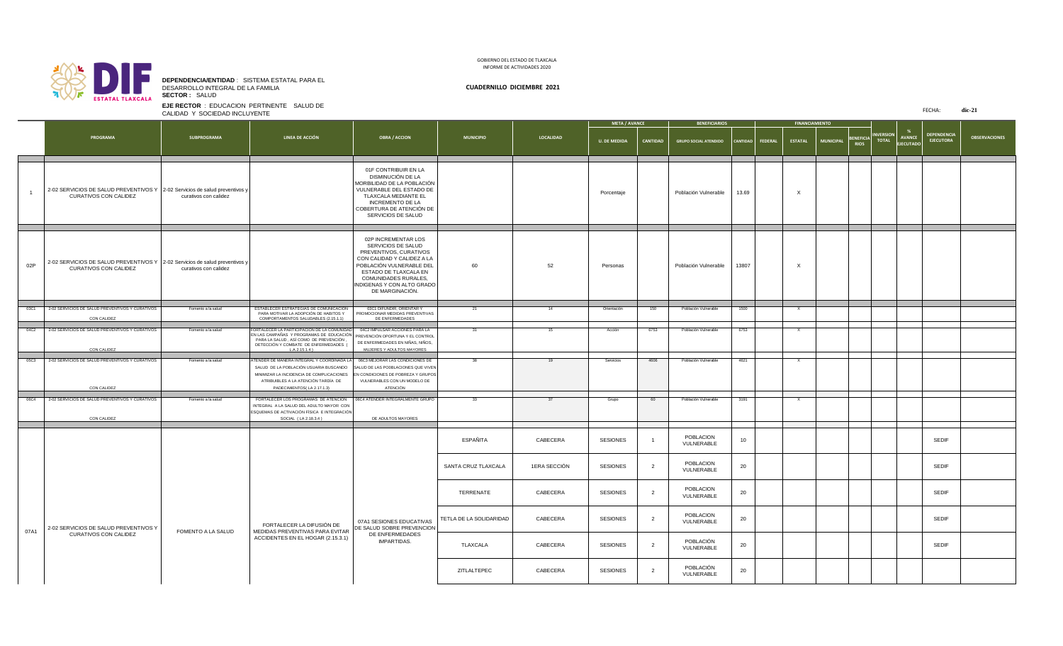FECHA: **dic-21**

|      |                                                                                                               |                           |                                                                                                                                                                                                                                                                            |                                                                                                                                                                                                                                        |                         |                  | <b>META / AVANCE</b> |                 | <b>BENEFICIARIOS</b>         |                    | <b>FINANCIAMIENTO</b> |                  |                                 |                                  |                                                                      |                      |
|------|---------------------------------------------------------------------------------------------------------------|---------------------------|----------------------------------------------------------------------------------------------------------------------------------------------------------------------------------------------------------------------------------------------------------------------------|----------------------------------------------------------------------------------------------------------------------------------------------------------------------------------------------------------------------------------------|-------------------------|------------------|----------------------|-----------------|------------------------------|--------------------|-----------------------|------------------|---------------------------------|----------------------------------|----------------------------------------------------------------------|----------------------|
|      | <b>PROGRAMA</b>                                                                                               | <b>SUBPROGRAMA</b>        | <b>LINEA DE ACCIÓN</b>                                                                                                                                                                                                                                                     | <b>OBRA / ACCION</b>                                                                                                                                                                                                                   | <b>MUNICIPIO</b>        | <b>LOCALIDAD</b> | <b>U. DE MEDIDA</b>  | <b>CANTIDAD</b> | <b>GRUPO SOCIAL ATENDIDO</b> | CANTIDAD   FEDERAL | <b>ESTATAL</b>        | <b>MUNICIPAL</b> | <b>BENEFICIA</b><br><b>RIOS</b> | <b>INVERSION</b><br><b>TOTAL</b> | <b>DEPENDENCIA</b><br><b>AVANCE</b><br><b>EJECUTORA</b><br>EIECUTADO | <b>OBSERVACIONES</b> |
|      | 2-02 SERVICIOS DE SALUD PREVENTIVOS Y   2-02 Servicios de salud preventivos y<br><b>CURATIVOS CON CALIDEZ</b> | curativos con calidez     |                                                                                                                                                                                                                                                                            | 01F CONTRIBUIR EN LA<br>DISMINUCIÓN DE LA<br>MORBILIDAD DE LA POBLACIÓN<br>VULNERABLE DEL ESTADO DE<br><b>TLAXCALA MEDIANTE EL</b><br><b>INCREMENTO DE LA</b><br>COBERTURA DE ATENCIÓN DE<br>SERVICIOS DE SALUD                        |                         |                  | Porcentaje           |                 | Población Vulnerable         | 13.69              |                       |                  |                                 |                                  |                                                                      |                      |
| 02P  | 2-02 SERVICIOS DE SALUD PREVENTIVOS Y   2-02 Servicios de salud preventivos y<br><b>CURATIVOS CON CALIDEZ</b> | curativos con calidez     |                                                                                                                                                                                                                                                                            | 02P INCREMENTAR LOS<br>SERVICIOS DE SALUD<br>PREVENTIVOS, CURATIVOS<br>CON CALIDAD Y CALIDEZ A LA<br>POBLACIÓN VULNERABLE DEL<br>ESTADO DE TLAXCALA EN<br><b>COMUNIDADES RURALES,</b><br>INDIGENAS Y CON ALTO GRADO<br>DE MARGINACIÓN. | 60                      | 52               | Personas             |                 | Población Vulnerable         | 13807              |                       |                  |                                 |                                  |                                                                      |                      |
| 03C1 | 2-02 SERVICIOS DE SALUD PREVENTIVOS Y CURATIVOS                                                               | Fomento a la salud        | ESTABLECER ESTRATEGIAS DE COMUNICACIÓN                                                                                                                                                                                                                                     | 03C1 DIFUNDIR, ORIENTAR Y                                                                                                                                                                                                              |                         | 14               | Orientación          | 150             | Población Vulnerable         | 1500               |                       |                  |                                 |                                  |                                                                      |                      |
|      | CON CALIDEZ                                                                                                   |                           | PARA MOTIVAR LA ADOPCIÓN DE HABITOS Y   PROMOCIONAR MEDIDAS PREVENTIVAS<br>COMPORTAMENTOS SALUDABLES (2.15.1.1)                                                                                                                                                            | DE ENFERMEDADES                                                                                                                                                                                                                        |                         |                  |                      |                 |                              |                    |                       |                  |                                 |                                  |                                                                      |                      |
| 04C2 | 2-02 SERVICIOS DE SALUD PREVENTIVOS Y CURATIVOS<br><b>CON CALIDEZ</b>                                         | Fomento a la salud        | FORTALECER LA PARTICIPACIÓN DE LA COMUNIDAD   04C2 IMPULSAR ACCIONES PARA LA<br>EN LAS CAMPAÑAS Y PROGRAMAS DE EDUCACIÓN PREVENCIÓN OPORTUNA Y EL CONTROL<br>PARA LA SALUD, ASÍ COMO DE PREVENCIÓN,<br>DETECCIÓN Y COMBATE DE ENFERMEDADES<br>L.A.2.15.1.4)                | DE ENFERMEDADES EN NIÑAS, NIÑOS,<br>MUJERES Y ADULTOS MAYORES                                                                                                                                                                          |                         | 15               | Acción               | 6753            | Población Vulnerable         | 6753               | $\mathsf{X}$          |                  |                                 |                                  |                                                                      |                      |
|      | 05C3 2-02 SERVICIOS DE SALUD PREVENTIVOS Y CURATIVOS<br><b>CON CALIDEZ</b>                                    | Fomento a la salud        | ATENDER DE MANERA INTEGRAL Y COORDINADA LA 06C3 MEJORAR LAS CONDICIONES DE<br>SALUD DE LA POBLACIÓN USUARIA BUSCANDO SALUD DE LAS PO0BLACIONES QUE VIVEN<br>MINIMIZAR LA INCIDENCIA DE COMPLICACIONES<br>ATRIBUIBLES A LA ATENCIÓN TARDÍA DE<br>PADECIMIENTOS(LA 2.17.1.3) | EN CONDICIONES DE POBREZA Y GRUPOS<br>VULNERABLES CON UN MODELO DE<br>ATENCIÓN                                                                                                                                                         |                         | 19               | Servicios            | 4606            | Población Vulnerable         | 4621               | $\mathsf{X}$          |                  |                                 |                                  |                                                                      |                      |
| 06C4 | 2-02 SERVICIOS DE SALUD PREVENTIVOS Y CURATIVOS<br>CON CALIDEZ                                                | Fomento a la salud        | FORTALECER LOS PROGRAMAS DE ATENCIÓN   06C4 ATENDER INTEGRALMENTE GRUPO<br>INTEGRAL A LA SALUD DEL ADULTO MAYOR CON<br>ESQUEMAS DE ACTIVACIÓN FÍSICA E INTEGRACIÓN<br>SOCIAL (LA 2.18.3.4)                                                                                 | DE ADULTOS MAYORES                                                                                                                                                                                                                     | -33                     | 37               | Grupo                | - 60            | Población Vulnerable         | 3191               | $\mathsf{X}$          |                  |                                 |                                  |                                                                      |                      |
|      |                                                                                                               |                           |                                                                                                                                                                                                                                                                            |                                                                                                                                                                                                                                        | ESPAÑITA                | CABECERA         | <b>SESIONES</b>      |                 | POBLACION<br>VULNERABLE      | 10                 |                       |                  |                                 |                                  | <b>SEDIF</b>                                                         |                      |
|      |                                                                                                               |                           |                                                                                                                                                                                                                                                                            |                                                                                                                                                                                                                                        | SANTA CRUZ TLAXCALA     | 1ERA SECCIÓN     | <b>SESIONES</b>      |                 | POBLACION<br>VULNERABLE      | 20                 |                       |                  |                                 |                                  | <b>SEDIF</b>                                                         |                      |
|      |                                                                                                               |                           |                                                                                                                                                                                                                                                                            |                                                                                                                                                                                                                                        | TERRENATE               | CABECERA         | <b>SESIONES</b>      |                 | POBLACION<br>VULNERABLE      | 20                 |                       |                  |                                 |                                  | <b>SEDIF</b>                                                         |                      |
| 07A1 | 2-02 SERVICIOS DE SALUD PREVENTIVOS Y                                                                         | <b>FOMENTO A LA SALUD</b> | FORTALECER LA DIFUSIÓN DE<br>MEDIDAS PREVENTIVAS PARA EVITAR                                                                                                                                                                                                               | 07A1 SESIONES EDUCATIVAS<br>DE SALUD SOBRE PREVENCION                                                                                                                                                                                  | TETLA DE LA SOLIDARIDAD | CABECERA         | <b>SESIONES</b>      |                 | POBLACION<br>VULNERABLE      | 20                 |                       |                  |                                 |                                  | <b>SEDIF</b>                                                         |                      |
|      | <b>CURATIVOS CON CALIDEZ</b>                                                                                  |                           | ACCIDENTES EN EL HOGAR (2.15.3.1)                                                                                                                                                                                                                                          | DE ENFERMEDADES<br><b>IMPARTIDAS.</b>                                                                                                                                                                                                  | TLAXCALA                | CABECERA         | <b>SESIONES</b>      |                 | POBLACIÓN<br>VULNERABLE      | 20                 |                       |                  |                                 |                                  | <b>SEDIF</b>                                                         |                      |
|      |                                                                                                               |                           |                                                                                                                                                                                                                                                                            |                                                                                                                                                                                                                                        | ZITLALTEPEC             | CABECERA         | <b>SESIONES</b>      |                 | POBLACIÓN<br>VULNERABLE      | 20                 |                       |                  |                                 |                                  |                                                                      |                      |

**EJE RECTOR** : EDUCACION PERTINENTE SALUD DE CALIDAD Y SOCIEDAD INCLUYENTE

## **DEPENDENCIA/ENTIDAD** : SISTEMA ESTATAL PARA EL DESARROLLO INTEGRAL DE LA FAMILIA **CUADERNILLO DICIEMBRE 2021**

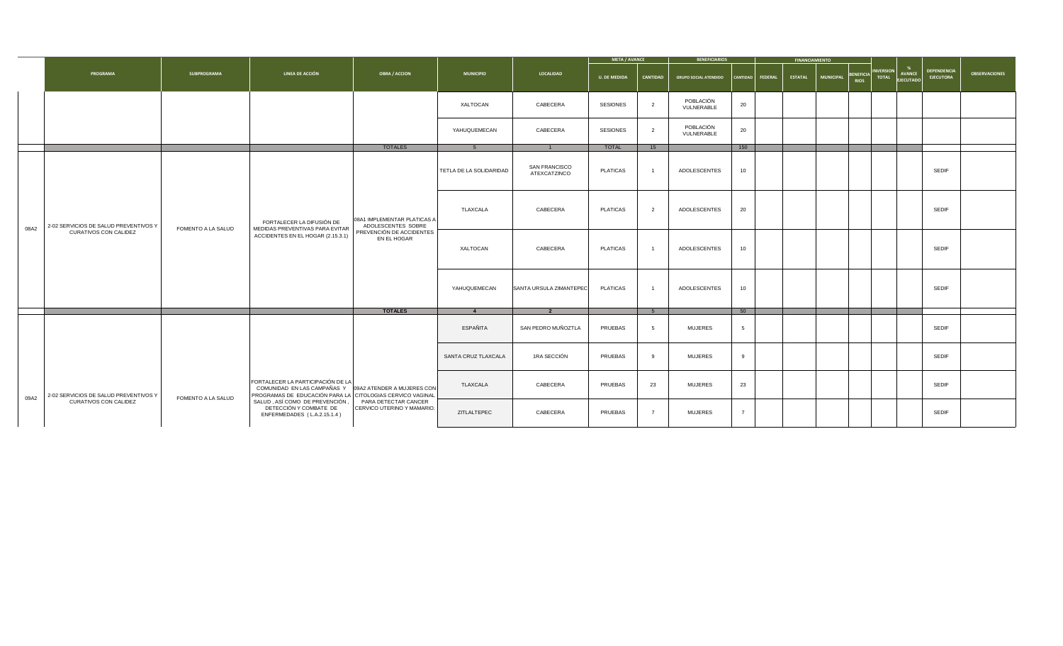|      |                                       |                           |                                                                                                                                                                 |                                                    |                         |                                      | <b>META / AVANCE</b> |                 | <b>BENEFICIARIOS</b>         |     |                  | <b>FINANCIAMIENTO</b> |                  |                                   |                                   |                                 |                      |
|------|---------------------------------------|---------------------------|-----------------------------------------------------------------------------------------------------------------------------------------------------------------|----------------------------------------------------|-------------------------|--------------------------------------|----------------------|-----------------|------------------------------|-----|------------------|-----------------------|------------------|-----------------------------------|-----------------------------------|---------------------------------|----------------------|
|      | <b>PROGRAMA</b>                       | <b>SUBPROGRAMA</b>        | <b>LINEA DE ACCIÓN</b>                                                                                                                                          | <b>OBRA / ACCION</b>                               | <b>MUNICIPIO</b>        | LOCALIDAD                            | <b>U. DE MEDIDA</b>  | <b>CANTIDAD</b> | <b>GRUPO SOCIAL ATENDIDO</b> |     | CANTIDAD FEDERAL | <b>ESTATAL</b>        | <b>MUNICIPAL</b> | BENEFICIA INVERSION<br>RIOS TOTAL | <b>AVANCE</b><br><b>EJECUTADO</b> | DEPENDENCIA<br><b>EJECUTORA</b> | <b>OBSERVACIONES</b> |
|      |                                       |                           |                                                                                                                                                                 |                                                    | XALTOCAN                | CABECERA                             | <b>SESIONES</b>      | $\overline{2}$  | POBLACIÓN<br>VULNERABLE      | 20  |                  |                       |                  |                                   |                                   |                                 |                      |
|      |                                       |                           |                                                                                                                                                                 |                                                    | YAHUQUEMECAN            | CABECERA                             | <b>SESIONES</b>      | $2^{\circ}$     | POBLACIÓN<br>VULNERABLE      | 20  |                  |                       |                  |                                   |                                   |                                 |                      |
|      |                                       |                           |                                                                                                                                                                 | <b>TOTALES</b>                                     |                         | $\mathbf{1}$                         | <b>TOTAL</b>         | 15              |                              | 150 |                  |                       |                  |                                   |                                   |                                 |                      |
|      |                                       |                           |                                                                                                                                                                 |                                                    | TETLA DE LA SOLIDARIDAD | <b>SAN FRANCISCO</b><br>ATEXCATZINCO | <b>PLATICAS</b>      |                 | ADOLESCENTES                 | 10  |                  |                       |                  |                                   |                                   | <b>SEDIF</b>                    |                      |
|      | 2-02 SERVICIOS DE SALUD PREVENTIVOS Y |                           | FORTALECER LA DIFUSIÓN DE                                                                                                                                       | 08A1 IMPLEMENTAR PLATICAS A<br>ADOLESCENTES SOBRE  | <b>TLAXCALA</b>         | CABECERA                             | <b>PLATICAS</b>      | $\overline{2}$  | ADOLESCENTES                 | 20  |                  |                       |                  |                                   |                                   | <b>SEDIF</b>                    |                      |
| 08A2 | <b>CURATIVOS CON CALIDEZ</b>          | <b>FOMENTO A LA SALUD</b> | MEDIDAS PREVENTIVAS PARA EVITAR<br>ACCIDENTES EN EL HOGAR (2.15.3.1)                                                                                            | PREVENCIÓN DE ACCIDENTES<br>EN EL HOGAR            | XALTOCAN                | CABECERA                             | <b>PLATICAS</b>      | $\sim$ 1        | <b>ADOLESCENTES</b>          | 10  |                  |                       |                  |                                   |                                   | <b>SEDIF</b>                    |                      |
|      |                                       |                           |                                                                                                                                                                 |                                                    | YAHUQUEMECAN            | SANTA URSULA ZIMANTEPEC              | <b>PLATICAS</b>      |                 | ADOLESCENTES                 | 10  |                  |                       |                  |                                   |                                   | <b>SEDIF</b>                    |                      |
|      |                                       |                           |                                                                                                                                                                 | <b>TOTALES</b>                                     |                         |                                      |                      |                 |                              | 50  |                  |                       |                  |                                   |                                   |                                 |                      |
|      |                                       |                           |                                                                                                                                                                 |                                                    | ESPAÑITA                | SAN PEDRO MUÑOZTLA                   | <b>PRUEBAS</b>       | 5 <sup>5</sup>  | <b>MUJERES</b>               |     |                  |                       |                  |                                   |                                   | <b>SEDIF</b>                    |                      |
|      |                                       |                           |                                                                                                                                                                 |                                                    | SANTA CRUZ TLAXCALA     | 1RA SECCIÓN                          | <b>PRUEBAS</b>       | 9               | <b>MUJERES</b>               |     |                  |                       |                  |                                   |                                   | <b>SEDIF</b>                    |                      |
| 09A2 | 2-02 SERVICIOS DE SALUD PREVENTIVOS Y | <b>FOMENTO A LA SALUD</b> | FORTALECER LA PARTICIPACIÓN DE LA<br>COMUNIDAD EN LAS CAMPAÑAS Y 09A2 ATENDER A MUJERES CON<br><b>PROGRAMAS DE EDUCACIÓN PARA LA CITOLOGIAS CERVICO VAGINAL</b> |                                                    | TLAXCALA                | CABECERA                             | <b>PRUEBAS</b>       | 23              | <b>MUJERES</b>               | 23  |                  |                       |                  |                                   |                                   | <b>SEDIF</b>                    |                      |
|      | <b>CURATIVOS CON CALIDEZ</b>          |                           | SALUD, ASÍ COMO DE PREVENCIÓN,<br>DETECCIÓN Y COMBATE DE<br>ENFERMEDADES (L.A.2.15.1.4)                                                                         | PARA DETECTAR CANCER<br>CERVICO UTERINO Y MAMARIO. | ZITLALTEPEC             | CABECERA                             | <b>PRUEBAS</b>       | $\overline{7}$  | <b>MUJERES</b>               |     |                  |                       |                  |                                   |                                   | <b>SEDIF</b>                    |                      |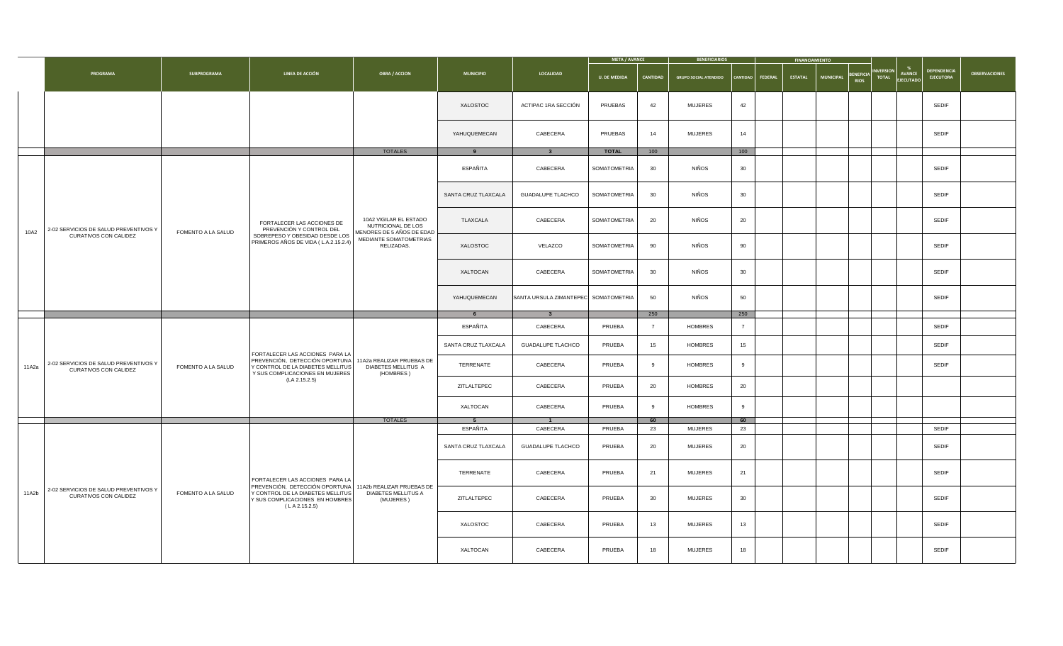|       |                                                                               |                           |                                                                                                                                  |                                                                           |                     |                                      | <b>META / AVANCE</b> |                 | <b>BENEFICIARIOS</b>             |                |                    | <b>FINANCIAMIENTO</b> |                                            |                                                          |                                        |                      |
|-------|-------------------------------------------------------------------------------|---------------------------|----------------------------------------------------------------------------------------------------------------------------------|---------------------------------------------------------------------------|---------------------|--------------------------------------|----------------------|-----------------|----------------------------------|----------------|--------------------|-----------------------|--------------------------------------------|----------------------------------------------------------|----------------------------------------|----------------------|
|       | <b>PROGRAMA</b>                                                               | <b>SUBPROGRAMA</b>        | LINEA DE ACCIÓN                                                                                                                  | <b>OBRA / ACCION</b>                                                      | <b>MUNICIPIO</b>    | <b>LOCALIDAD</b>                     | <b>U. DE MEDIDA</b>  | <b>CANTIDAD</b> | <b>GRUPO SOCIAL ATENDIDO</b>     |                | CANTIDAD   FEDERAL | <b>ESTATAL</b>        | BENEFICIA <sup>"</sup><br><b>MUNICIPAL</b> | INVERSION <br><b>AVANCE</b><br><b>TOTAL</b><br>EJECUTADO | <b>DEPENDENCIA</b><br><b>EJECUTORA</b> | <b>OBSERVACIONES</b> |
|       |                                                                               |                           |                                                                                                                                  |                                                                           | XALOSTOC            | ACTIPAC 1RA SECCIÓN                  | PRUEBAS              | 42              | <b>MUJERES</b>                   | 42             |                    |                       |                                            |                                                          | <b>SEDIF</b>                           |                      |
|       |                                                                               |                           |                                                                                                                                  |                                                                           | YAHUQUEMECAN        | CABECERA                             | PRUEBAS              | 14              | <b>MUJERES</b>                   | 14             |                    |                       |                                            |                                                          | <b>SEDIF</b>                           |                      |
|       |                                                                               |                           |                                                                                                                                  | <b>TOTALES</b>                                                            |                     |                                      | <b>TOTAL</b>         | 100             |                                  | 100            |                    |                       |                                            |                                                          |                                        |                      |
|       |                                                                               |                           |                                                                                                                                  |                                                                           | ESPAÑITA            | CABECERA                             | SOMATOMETRIA         | 30              | NIÑOS                            | 30             |                    |                       |                                            |                                                          | <b>SEDIF</b>                           |                      |
|       |                                                                               |                           |                                                                                                                                  |                                                                           | SANTA CRUZ TLAXCALA | <b>GUADALUPE TLACHCO</b>             | SOMATOMETRIA         | 30              | NIÑOS                            | 30             |                    |                       |                                            |                                                          | <b>SEDIF</b>                           |                      |
| 10A2  | 2-02 SERVICIOS DE SALUD PREVENTIVOS Y                                         | <b>FOMENTO A LA SALUD</b> | FORTALECER LAS ACCIONES DE<br>PREVENCIÓN Y CONTROL DEL                                                                           | 10A2 VIGILAR EL ESTADO<br>NUTRICIONAL DE LOS<br>MENORES DE 5 AÑOS DE EDAD | TLAXCALA            | CABECERA                             | SOMATOMETRIA         | 20              | NIÑOS                            | 20             |                    |                       |                                            |                                                          | <b>SEDIF</b>                           |                      |
|       | <b>CURATIVOS CON CALIDEZ</b>                                                  |                           | SOBREPESO Y OBESIDAD DESDE LOS<br>PRIMEROS AÑOS DE VIDA (L.A.2.15.2.4)                                                           | MEDIANTE SOMATOMETRIAS<br>RELIZADAS.                                      | XALOSTOC            | VELAZCO                              | SOMATOMETRIA         | 90              | NIÑOS                            | 90             |                    |                       |                                            |                                                          | <b>SEDIF</b>                           |                      |
|       |                                                                               |                           |                                                                                                                                  |                                                                           | XALTOCAN            | CABECERA                             | SOMATOMETRIA         | 30              | NIÑOS                            | 30             |                    |                       |                                            |                                                          | <b>SEDIF</b>                           |                      |
|       |                                                                               |                           |                                                                                                                                  |                                                                           | YAHUQUEMECAN        | SANTA URSULA ZIMANTEPEC SOMATOMETRIA |                      | 50              | NIÑOS                            | 50             |                    |                       |                                            |                                                          | <b>SEDIF</b>                           |                      |
|       |                                                                               |                           |                                                                                                                                  |                                                                           |                     | ્ર                                   |                      | 250             |                                  | 250            |                    |                       |                                            |                                                          |                                        |                      |
|       |                                                                               |                           |                                                                                                                                  |                                                                           | ESPAÑITA            | CABECERA                             | <b>PRUEBA</b>        |                 | <b>HOMBRES</b>                   | $\overline{7}$ |                    |                       |                                            |                                                          | <b>SEDIF</b>                           |                      |
|       |                                                                               |                           | FORTALECER LAS ACCIONES PARA LA                                                                                                  |                                                                           | SANTA CRUZ TLAXCALA | <b>GUADALUPE TLACHCO</b>             | <b>PRUEBA</b>        | 15              | <b>HOMBRES</b>                   | 15             |                    |                       |                                            |                                                          | <b>SEDIF</b>                           |                      |
|       | 11A2a   2-02 SERVICIOS DE SALUD PREVENTIVOS Y<br><b>CURATIVOS CON CALIDEZ</b> | <b>FOMENTO A LA SALUD</b> | PREVENCIÓN, DETECCIÓN OPORTUNA 11A2a REALIZAR PRUEBAS DE<br>Y CONTROL DE LA DIABETES MELLITUS<br>Y SUS COMPLICACIONES EN MUJERES | <b>DIABETES MELLITUS A</b><br>(HOMBRES)                                   | TERRENATE           | CABECERA                             | <b>PRUEBA</b>        |                 | <b>HOMBRES</b>                   | 9              |                    |                       |                                            |                                                          | <b>SEDIF</b>                           |                      |
|       |                                                                               |                           | (LA 2.15.2.5)                                                                                                                    |                                                                           | ZITLALTEPEC         | CABECERA                             | <b>PRUEBA</b>        | 20              | <b>HOMBRES</b>                   | 20             |                    |                       |                                            |                                                          |                                        |                      |
|       |                                                                               |                           |                                                                                                                                  |                                                                           | XALTOCAN            | CABECERA                             | <b>PRUEBA</b>        |                 | <b>HOMBRES</b>                   | 9              |                    |                       |                                            |                                                          |                                        |                      |
|       |                                                                               |                           |                                                                                                                                  | <b>TOTALES</b>                                                            | ESPAÑITA            | CABECERA                             | <b>PRUEBA</b>        | 60<br>23        |                                  | 60<br>23       |                    |                       |                                            |                                                          | <b>SEDIF</b>                           |                      |
|       |                                                                               |                           |                                                                                                                                  |                                                                           | SANTA CRUZ TLAXCALA | <b>GUADALUPE TLACHCO</b>             | <b>PRUEBA</b>        | 20              | <b>MUJERES</b><br><b>MUJERES</b> | 20             |                    |                       |                                            |                                                          | <b>SEDIF</b>                           |                      |
|       |                                                                               |                           | FORTALECER LAS ACCIONES PARA LA                                                                                                  |                                                                           | TERRENATE           | CABECERA                             | <b>PRUEBA</b>        | 21              | <b>MUJERES</b>                   | 21             |                    |                       |                                            |                                                          | <b>SEDIF</b>                           |                      |
| 11A2b | 2-02 SERVICIOS DE SALUD PREVENTIVOS Y<br><b>CURATIVOS CON CALIDEZ</b>         | FOMENTO A LA SALUD        | PREVENCIÓN, DETECCIÓN OPORTUNA<br>Y CONTROL DE LA DIABETES MELLITUS<br>Y SUS COMPLICACIONES EN HOMBRES<br>(LA 2.15.2.5)          | 11A2b REALIZAR PRUEBAS DE<br><b>DIABETES MELLITUS A</b><br>(MUJERES)      | ZITLALTEPEC         | CABECERA                             | <b>PRUEBA</b>        | 30              | <b>MUJERES</b>                   | 30             |                    |                       |                                            |                                                          | <b>SEDIF</b>                           |                      |
|       |                                                                               |                           |                                                                                                                                  |                                                                           | XALOSTOC            | CABECERA                             | <b>PRUEBA</b>        | 13              | <b>MUJERES</b>                   | 13             |                    |                       |                                            |                                                          | <b>SEDIF</b>                           |                      |
|       |                                                                               |                           |                                                                                                                                  |                                                                           |                     |                                      |                      |                 |                                  |                |                    |                       |                                            |                                                          |                                        |                      |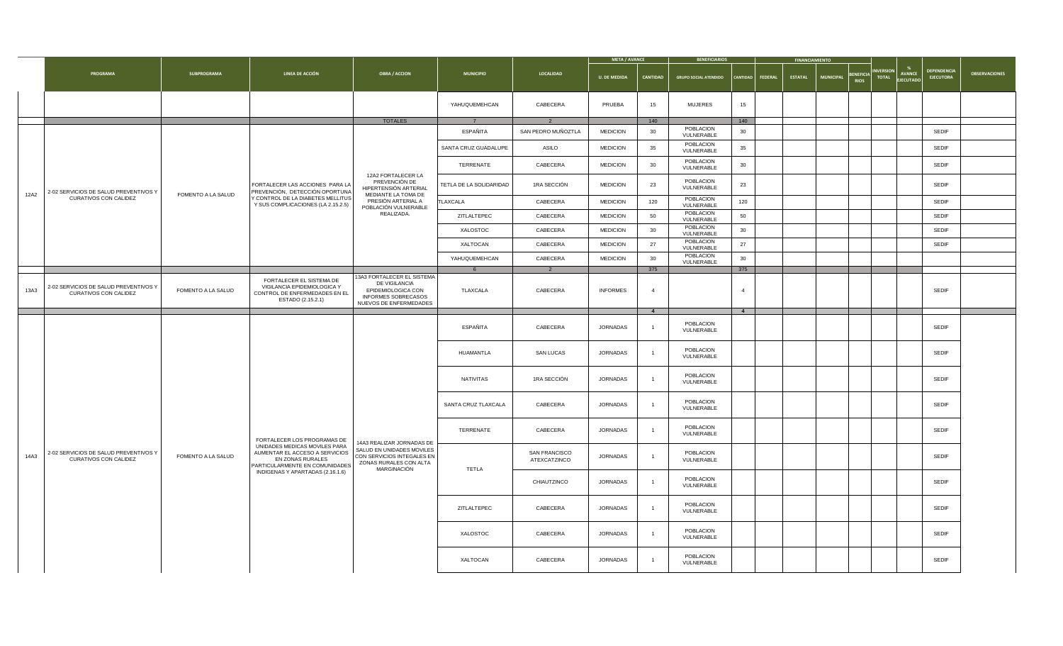|      |                                                                       |                           |                                                                                                                       |                                                                                                                             |                         |                                      | <b>META / AVANCE</b> |                 | <b>BENEFICIARIOS</b>                 |                    | <b>FINANCIAMIENTO</b> |                                                |                                                                       |                                        |                      |
|------|-----------------------------------------------------------------------|---------------------------|-----------------------------------------------------------------------------------------------------------------------|-----------------------------------------------------------------------------------------------------------------------------|-------------------------|--------------------------------------|----------------------|-----------------|--------------------------------------|--------------------|-----------------------|------------------------------------------------|-----------------------------------------------------------------------|----------------------------------------|----------------------|
|      | <b>PROGRAMA</b>                                                       | <b>SUBPROGRAMA</b>        | LINEA DE ACCIÓN                                                                                                       | <b>OBRA / ACCION</b>                                                                                                        | <b>MUNICIPIO</b>        | <b>LOCALIDAD</b>                     | <b>U. DE MEDIDA</b>  | <b>CANTIDAD</b> | <b>GRUPO SOCIAL ATENDIDO</b>         | CANTIDAD   FEDERAL | <b>ESTATAL</b>        | <b>BENEFICIA</b><br>  MUNICIPAL<br><b>RIOS</b> | <b>INVERSION</b><br><b>AVANCE</b><br><b>TOTAL</b><br><b>EJECUTADO</b> | <b>DEPENDENCIA</b><br><b>EJECUTORA</b> | <b>OBSERVACIONES</b> |
|      |                                                                       |                           |                                                                                                                       |                                                                                                                             | YAHUQUEMEHCAN           | CABECERA                             | <b>PRUEBA</b>        | 15              | <b>MUJERES</b>                       | 15                 |                       |                                                |                                                                       |                                        |                      |
|      |                                                                       |                           |                                                                                                                       | <b>TOTALES</b>                                                                                                              |                         |                                      |                      | 140             |                                      | 140                |                       |                                                |                                                                       |                                        |                      |
|      |                                                                       |                           |                                                                                                                       |                                                                                                                             | ESPAÑITA                | SAN PEDRO MUÑOZTLA                   | <b>MEDICION</b>      | 30              | POBLACION<br>VULNERABLE              | 30                 |                       |                                                |                                                                       | <b>SEDIF</b>                           |                      |
|      |                                                                       |                           |                                                                                                                       |                                                                                                                             | SANTA CRUZ GUADALUPE    | ASILO                                | <b>MEDICION</b>      | 35              | POBLACION<br>VULNERABLE              | 35                 |                       |                                                |                                                                       | <b>SEDIF</b>                           |                      |
|      |                                                                       |                           |                                                                                                                       |                                                                                                                             | TERRENATE               | CABECERA                             | <b>MEDICION</b>      | 30              | POBLACION<br>VULNERABLE              | 30                 |                       |                                                |                                                                       | <b>SEDIF</b>                           |                      |
| 12A2 | 2-02 SERVICIOS DE SALUD PREVENTIVOS Y                                 | <b>FOMENTO A LA SALUD</b> | FORTALECER LAS ACCIONES PARA LA<br>PREVENCIÓN, DETECCIÓN OPORTUNA                                                     | 12A2 FORTALECER LA<br>PREVENCIÓN DE<br>HIPERTENSIÓN ARTERIAL<br>MEDIANTE LA TOMA DE                                         | TETLA DE LA SOLIDARIDAD | 1RA SECCIÓN                          | <b>MEDICION</b>      | 23              | POBLACION<br>VULNERABLE              | 23                 |                       |                                                |                                                                       | <b>SEDIF</b>                           |                      |
|      | <b>CURATIVOS CON CALIDEZ</b>                                          |                           | Y CONTROL DE LA DIABETES MELLITUS<br>Y SUS COMPLICACIONES (LA 2.15.2.5)                                               | PRESIÓN ARTERIAL A<br>POBLACIÓN VULNERABLE                                                                                  | <b>TLAXCALA</b>         | CABECERA                             | <b>MEDICION</b>      | 120             | POBLACION<br>VULNERABLE<br>POBLACION | 120                |                       |                                                |                                                                       | <b>SEDIF</b>                           |                      |
|      |                                                                       |                           |                                                                                                                       | REALIZADA.                                                                                                                  | ZITLALTEPEC             | CABECERA                             | <b>MEDICION</b>      | 50              | VULNERABLE                           | 50                 |                       |                                                |                                                                       | <b>SEDIF</b>                           |                      |
|      |                                                                       |                           |                                                                                                                       |                                                                                                                             | XALOSTOC                | CABECERA                             | <b>MEDICION</b>      | 30              | POBLACION<br>VULNERABLE              | 30                 |                       |                                                |                                                                       | <b>SEDIF</b>                           |                      |
|      |                                                                       |                           |                                                                                                                       |                                                                                                                             | XALTOCAN                | CABECERA                             | <b>MEDICION</b>      | 27              | POBLACION<br>VULNERABLE              | 27                 |                       |                                                |                                                                       | <b>SEDIF</b>                           |                      |
|      |                                                                       |                           |                                                                                                                       |                                                                                                                             | YAHUQUEMEHCAN           | CABECERA                             | <b>MEDICION</b>      | 30              | POBLACION<br>VULNERABLE              | 30                 |                       |                                                |                                                                       |                                        |                      |
|      |                                                                       |                           |                                                                                                                       |                                                                                                                             |                         | $\overline{2}$                       |                      | 375             |                                      | 375                |                       |                                                |                                                                       |                                        |                      |
| 13A3 | 2-02 SERVICIOS DE SALUD PREVENTIVOS Y<br><b>CURATIVOS CON CALIDEZ</b> | <b>FOMENTO A LA SALUD</b> | FORTALECER EL SISTEMA DE<br>VIGILANCIA EPIDEMIOLOGICA Y<br>CONTROL DE ENFERMEDADES EN EL<br>ESTADO (2.15.2.1)         | 13A3 FORTALECER EL SISTEMA  <br>DE VIGILANCIA<br>EPIDEMIOLOGICA CON<br><b>INFORMES SOBRECASOS</b><br>NUEVOS DE ENFERMEDADES | <b>TLAXCALA</b>         | CABECERA                             | <b>INFORMES</b>      |                 |                                      |                    |                       |                                                |                                                                       | <b>SEDIF</b>                           |                      |
|      |                                                                       |                           |                                                                                                                       |                                                                                                                             |                         |                                      |                      |                 |                                      |                    |                       |                                                |                                                                       |                                        |                      |
|      |                                                                       |                           |                                                                                                                       |                                                                                                                             | ESPAÑITA                | CABECERA                             | <b>JORNADAS</b>      |                 | POBLACION<br>VULNERABLE              |                    |                       |                                                |                                                                       | <b>SEDIF</b>                           |                      |
|      |                                                                       |                           |                                                                                                                       |                                                                                                                             | HUAMANTLA               | <b>SAN LUCAS</b>                     | <b>JORNADAS</b>      |                 | <b>POBLACION</b><br>VULNERABLE       |                    |                       |                                                |                                                                       | <b>SEDIF</b>                           |                      |
|      |                                                                       |                           |                                                                                                                       |                                                                                                                             | NATIVITAS               | 1RA SECCIÓN                          | <b>JORNADAS</b>      |                 | POBLACION<br>VULNERABLE              |                    |                       |                                                |                                                                       | <b>SEDIF</b>                           |                      |
|      |                                                                       |                           |                                                                                                                       |                                                                                                                             | SANTA CRUZ TLAXCALA     | CABECERA                             | <b>JORNADAS</b>      |                 | POBLACION<br>VULNERABLE              |                    |                       |                                                |                                                                       | <b>SEDIF</b>                           |                      |
|      |                                                                       |                           | FORTALECER LOS PROGRAMAS DE                                                                                           | 14A3 REALIZAR JORNADAS DE                                                                                                   | TERRENATE               | CABECERA                             | JORNADAS             |                 | POBLACION<br>VULNERABLE              |                    |                       |                                                |                                                                       | <b>SEDIF</b>                           |                      |
| 14A3 | 2-02 SERVICIOS DE SALUD PREVENTIVOS Y<br><b>CURATIVOS CON CALIDEZ</b> | <b>FOMENTO A LA SALUD</b> | UNIDADES MEDICAS MOVILES PARA<br>AUMENTAR EL ACCESO A SERVICIOS<br>EN ZONAS RURALES<br>PARTICULARMENTE EN COMUNIDADES | SALUD EN UNIDADES MOVILES  <br>CON SERVICIOS INTEGALES EN  <br>ZONAS RURALES CON ALTA                                       |                         | <b>SAN FRANCISCO</b><br>ATEXCATZINCO | <b>JORNADAS</b>      |                 | POBLACION<br>VULNERABLE              |                    |                       |                                                |                                                                       | <b>SEDIF</b>                           |                      |
|      |                                                                       |                           | INDIGENAS Y APARTADAS (2.16.1.6)                                                                                      | MARGINACIÓN                                                                                                                 | <b>TETLA</b>            | CHIAUTZINCO                          | JORNADAS             |                 | POBLACION<br>VULNERABLE              |                    |                       |                                                |                                                                       | <b>SEDIF</b>                           |                      |
|      |                                                                       |                           |                                                                                                                       |                                                                                                                             | ZITLALTEPEC             | CABECERA                             | JORNADAS             |                 | POBLACION<br>VULNERABLE              |                    |                       |                                                |                                                                       | <b>SEDIF</b>                           |                      |
|      |                                                                       |                           |                                                                                                                       |                                                                                                                             | XALOSTOC                | <b>CABECERA</b>                      | JORNADAS             |                 | POBLACION<br>VULNERABLE              |                    |                       |                                                |                                                                       | <b>SEDIF</b>                           |                      |
|      |                                                                       |                           |                                                                                                                       |                                                                                                                             | XALTOCAN                | CABECERA                             | JORNADAS             |                 | POBLACION<br>VULNERABLE              |                    |                       |                                                |                                                                       | <b>SEDIF</b>                           |                      |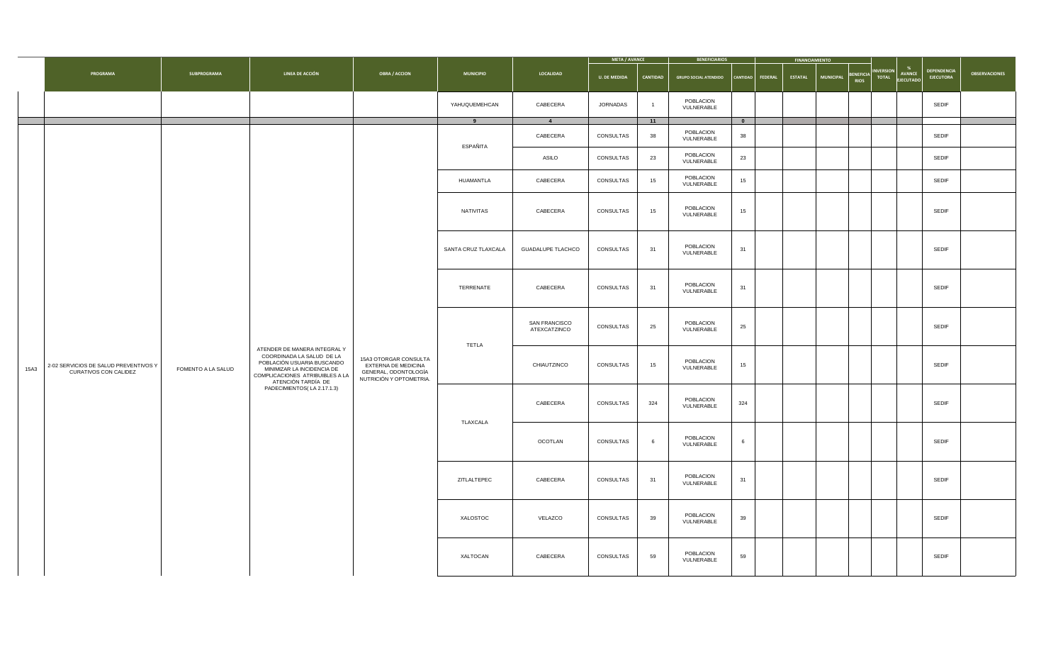|      |                                                                       |                    |                                                                                                                                                                                |                                                                                                 |                  |                                                     | <b>META / AVANCE</b> |                 | <b>BENEFICIARIOS</b>                       |                         | <b>FINANCIAMIENTO</b> |                     |                            |  |                                        |                      |
|------|-----------------------------------------------------------------------|--------------------|--------------------------------------------------------------------------------------------------------------------------------------------------------------------------------|-------------------------------------------------------------------------------------------------|------------------|-----------------------------------------------------|----------------------|-----------------|--------------------------------------------|-------------------------|-----------------------|---------------------|----------------------------|--|----------------------------------------|----------------------|
|      | <b>PROGRAMA</b>                                                       | <b>SUBPROGRAMA</b> | LINEA DE ACCIÓN                                                                                                                                                                | <b>OBRA / ACCION</b>                                                                            | <b>MUNICIPIO</b> | LOCALIDAD                                           | <b>U. DE MEDIDA</b>  | <b>CANTIDAD</b> | GRUPO SOCIAL ATENDIDO   CANTIDAD   FEDERAL |                         |                       | ESTATAL   MUNICIPAL | BENEFICIA INVERSION AVANCE |  | <b>DEPENDENCIA</b><br><b>EJECUTORA</b> | <b>OBSERVACIONES</b> |
|      |                                                                       |                    |                                                                                                                                                                                |                                                                                                 | YAHUQUEMEHCAN    | CABECERA                                            | JORNADAS             |                 | POBLACION<br>VULNERABLE                    |                         |                       |                     |                            |  | <b>SEDIF</b>                           |                      |
|      |                                                                       |                    |                                                                                                                                                                                |                                                                                                 | $9^{\circ}$      | $\overline{4}$                                      |                      | $-11$           |                                            | $\overline{\mathbf{0}}$ |                       |                     |                            |  |                                        |                      |
|      |                                                                       |                    |                                                                                                                                                                                |                                                                                                 | ESPAÑITA         | CABECERA                                            | CONSULTAS            | 38              | POBLACION<br>VULNERABLE                    | 38                      |                       |                     |                            |  | <b>SEDIF</b>                           |                      |
|      |                                                                       |                    |                                                                                                                                                                                |                                                                                                 |                  | <b>ASILO</b>                                        | CONSULTAS            | 23              | POBLACION<br>VULNERABLE                    | 23                      |                       |                     |                            |  | <b>SEDIF</b>                           |                      |
|      |                                                                       |                    |                                                                                                                                                                                |                                                                                                 | HUAMANTLA        | CABECERA                                            | CONSULTAS            | 15              | POBLACION<br>VULNERABLE                    | 15                      |                       |                     |                            |  | <b>SEDIF</b>                           |                      |
|      |                                                                       |                    |                                                                                                                                                                                |                                                                                                 | NATIVITAS        | CABECERA                                            | CONSULTAS            | 15              | POBLACION<br>VULNERABLE                    | 15                      |                       |                     |                            |  | <b>SEDIF</b>                           |                      |
|      |                                                                       |                    |                                                                                                                                                                                |                                                                                                 |                  | SANTA CRUZ TLAXCALA   GUADALUPE TLACHCO   CONSULTAS |                      | 31              | POBLACION<br>VULNERABLE                    | 31                      |                       |                     |                            |  | <b>SEDIF</b>                           |                      |
|      |                                                                       |                    |                                                                                                                                                                                |                                                                                                 | TERRENATE        | CABECERA                                            | CONSULTAS            | 31              | POBLACION<br>VULNERABLE                    | 31                      |                       |                     |                            |  | <b>SEDIF</b>                           |                      |
|      |                                                                       |                    |                                                                                                                                                                                |                                                                                                 | <b>TETLA</b>     | <b>SAN FRANCISCO</b><br>ATEXCATZINCO                | CONSULTAS            | 25              | POBLACION<br>VULNERABLE                    | 25                      |                       |                     |                            |  | <b>SEDIF</b>                           |                      |
| 15A3 | 2-02 SERVICIOS DE SALUD PREVENTIVOS Y<br><b>CURATIVOS CON CALIDEZ</b> | FOMENTO A LA SALUD | ATENDER DE MANERA INTEGRAL Y<br>COORDINADA LA SALUD DE LA<br>POBLACIÓN USUARIA BUSCANDO<br>MINIMIZAR LA INCIDENCIA DE<br>COMPLICACIONES ATRIBUIBLES A LA<br>ATENCIÓN TARDÍA DE | 15A3 OTORGAR CONSULTA<br>EXTERNA DE MEDICINA<br>GENERAL, ODONTOLOGÍA<br>NUTRICIÓN Y OPTOMETRIA. |                  | CHIAUTZINCO                                         | CONSULTAS            | 15              | POBLACION<br>VULNERABLE                    | 15                      |                       |                     |                            |  | <b>SEDIF</b>                           |                      |
|      |                                                                       |                    | PADECIMIENTOS(LA 2.17.1.3)                                                                                                                                                     |                                                                                                 | TLAXCALA         | CABECERA                                            | CONSULTAS            | 324             | POBLACION<br>VULNERABLE                    | 324                     |                       |                     |                            |  | <b>SEDIF</b>                           |                      |
|      |                                                                       |                    |                                                                                                                                                                                |                                                                                                 |                  | OCOTLAN                                             | CONSULTAS            |                 | POBLACION<br>VULNERABLE                    |                         |                       |                     |                            |  | <b>SEDIF</b>                           |                      |
|      |                                                                       |                    |                                                                                                                                                                                |                                                                                                 | ZITLALTEPEC      | CABECERA                                            | CONSULTAS            | 31              | POBLACION<br>VULNERABLE                    | 31                      |                       |                     |                            |  | <b>SEDIF</b>                           |                      |
|      |                                                                       |                    |                                                                                                                                                                                |                                                                                                 | XALOSTOC         | VELAZCO                                             | CONSULTAS            | 39              | POBLACION<br>VULNERABLE                    | 39                      |                       |                     |                            |  | <b>SEDIF</b>                           |                      |
|      |                                                                       |                    |                                                                                                                                                                                |                                                                                                 | XALTOCAN         | CABECERA                                            | CONSULTAS            | 59              | POBLACION<br>VULNERABLE                    | 59                      |                       |                     |                            |  | <b>SEDIF</b>                           |                      |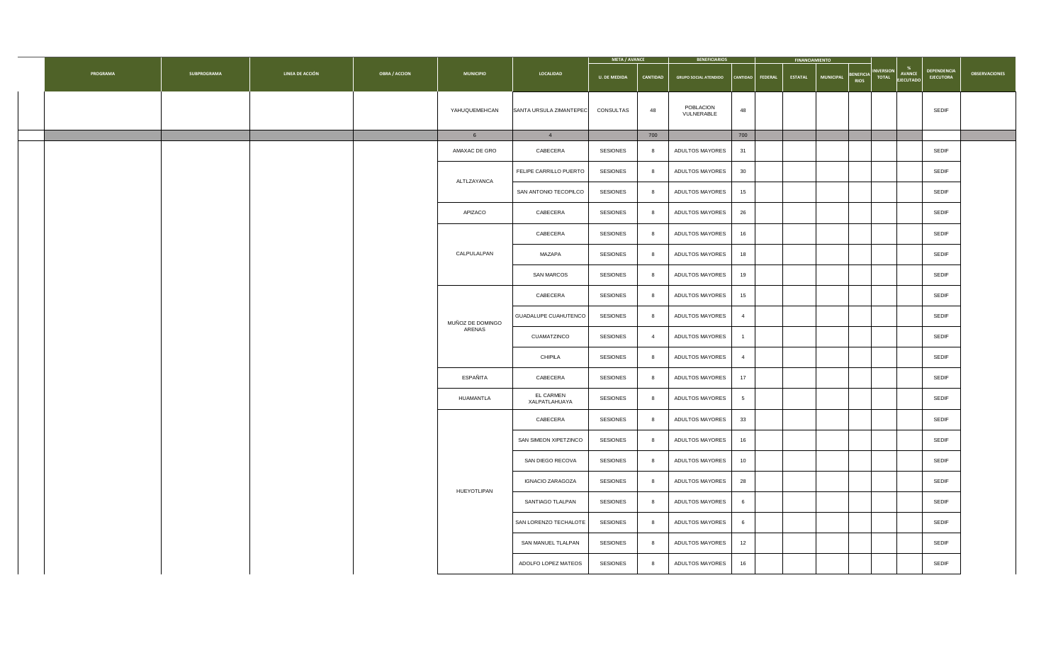|                 |                    |                 |                      |                            |                                   | META / AVANCE       |                 | <b>BENEFICIARIOS</b>                       |                 | <b>FINANCIAMIENTO</b> |                  |                     |                    |                      |
|-----------------|--------------------|-----------------|----------------------|----------------------------|-----------------------------------|---------------------|-----------------|--------------------------------------------|-----------------|-----------------------|------------------|---------------------|--------------------|----------------------|
| <b>PROGRAMA</b> | <b>SUBPROGRAMA</b> | LINEA DE ACCIÓN | <b>OBRA / ACCION</b> | <b>MUNICIPIO</b>           | <b>LOCALIDAD</b>                  | <b>U. DE MEDIDA</b> | <b>CANTIDAD</b> | GRUPO SOCIAL ATENDIDO   CANTIDAD   FEDERAL |                 | <b>ESTATAL</b>        | <b>MUNICIPAL</b> | BENEFICIA INVERSION | AVANCE DEPENDENCIA | <b>OBSERVACIONES</b> |
|                 |                    |                 |                      | YAHUQUEMEHCAN              | SANTA URSULA ZIMANTEPEC           | CONSULTAS           | 48              | POBLACION<br>VULNERABLE                    | 48              |                       |                  |                     | <b>SEDIF</b>       |                      |
|                 |                    |                 |                      |                            |                                   |                     | 700             |                                            | 700             |                       |                  |                     |                    |                      |
|                 |                    |                 |                      | AMAXAC DE GRO              | CABECERA                          | <b>SESIONES</b>     |                 | <b>ADULTOS MAYORES</b>                     | 31              |                       |                  |                     | <b>SEDIF</b>       |                      |
|                 |                    |                 |                      | ALTLZAYANCA                | <b>FELIPE CARRILLO PUERTO</b>     | <b>SESIONES</b>     |                 | <b>ADULTOS MAYORES</b>                     | 30              |                       |                  |                     | <b>SEDIF</b>       |                      |
|                 |                    |                 |                      |                            | SAN ANTONIO TECOPILCO             | <b>SESIONES</b>     |                 | <b>ADULTOS MAYORES</b>                     | 15              |                       |                  |                     | <b>SEDIF</b>       |                      |
|                 |                    |                 |                      | APIZACO                    | CABECERA                          | <b>SESIONES</b>     |                 | <b>ADULTOS MAYORES</b>                     | 26              |                       |                  |                     | <b>SEDIF</b>       |                      |
|                 |                    |                 |                      |                            | CABECERA                          | <b>SESIONES</b>     |                 | ADULTOS MAYORES                            | 16              |                       |                  |                     | <b>SEDIF</b>       |                      |
|                 |                    |                 |                      | CALPULALPAN                | <b>MAZAPA</b>                     | <b>SESIONES</b>     |                 | ADULTOS MAYORES                            | 18              |                       |                  |                     | <b>SEDIF</b>       |                      |
|                 |                    |                 |                      |                            | <b>SAN MARCOS</b>                 | <b>SESIONES</b>     |                 | ADULTOS MAYORES                            | 19              |                       |                  |                     | <b>SEDIF</b>       |                      |
|                 |                    |                 |                      |                            | CABECERA                          | <b>SESIONES</b>     |                 | ADULTOS MAYORES                            | 15              |                       |                  |                     | <b>SEDIF</b>       |                      |
|                 |                    |                 |                      | MUÑOZ DE DOMINGO<br>ARENAS | GUADALUPE CUAHUTENCO              | <b>SESIONES</b>     |                 | ADULTOS MAYORES                            |                 |                       |                  |                     | <b>SEDIF</b>       |                      |
|                 |                    |                 |                      |                            | CUAMATZINCO                       | <b>SESIONES</b>     |                 | ADULTOS MAYORES                            |                 |                       |                  |                     | <b>SEDIF</b>       |                      |
|                 |                    |                 |                      |                            | <b>CHIPILA</b>                    | <b>SESIONES</b>     |                 | ADULTOS MAYORES                            | - 4             |                       |                  |                     | <b>SEDIF</b>       |                      |
|                 |                    |                 |                      | ESPAÑITA                   | CABECERA                          | <b>SESIONES</b>     |                 | ADULTOS MAYORES                            | 17              |                       |                  |                     | <b>SEDIF</b>       |                      |
|                 |                    |                 |                      | HUAMANTLA                  | <b>EL CARMEN</b><br>XALPATLAHUAYA | <b>SESIONES</b>     |                 | ADULTOS MAYORES                            |                 |                       |                  |                     | <b>SEDIF</b>       |                      |
|                 |                    |                 |                      |                            | CABECERA                          | <b>SESIONES</b>     |                 | ADULTOS MAYORES                            | 33              |                       |                  |                     | <b>SEDIF</b>       |                      |
|                 |                    |                 |                      |                            | SAN SIMEON XIPETZINCO             | <b>SESIONES</b>     |                 | ADULTOS MAYORES                            | 16              |                       |                  |                     | <b>SEDIF</b>       |                      |
|                 |                    |                 |                      |                            | SAN DIEGO RECOVA                  | <b>SESIONES</b>     |                 | ADULTOS MAYORES                            | 10              |                       |                  |                     | <b>SEDIF</b>       |                      |
|                 |                    |                 |                      | HUEYOTLIPAN                | <b>IGNACIO ZARAGOZA</b>           | <b>SESIONES</b>     |                 | ADULTOS MAYORES                            | 28              |                       |                  |                     | <b>SEDIF</b>       |                      |
|                 |                    |                 |                      |                            | SANTIAGO TLALPAN                  | <b>SESIONES</b>     |                 | ADULTOS MAYORES                            | $6\overline{6}$ |                       |                  |                     | <b>SEDIF</b>       |                      |
|                 |                    |                 |                      |                            | SAN LORENZO TECHALOTE             | <b>SESIONES</b>     |                 | ADULTOS MAYORES                            | $6\overline{6}$ |                       |                  |                     | <b>SEDIF</b>       |                      |
|                 |                    |                 |                      |                            | SAN MANUEL TLALPAN                | <b>SESIONES</b>     |                 | ADULTOS MAYORES                            | 12              |                       |                  |                     | <b>SEDIF</b>       |                      |
|                 |                    |                 |                      |                            | ADOLFO LOPEZ MATEOS               | <b>SESIONES</b>     |                 | ADULTOS MAYORES                            | 16              |                       |                  |                     | <b>SEDIF</b>       |                      |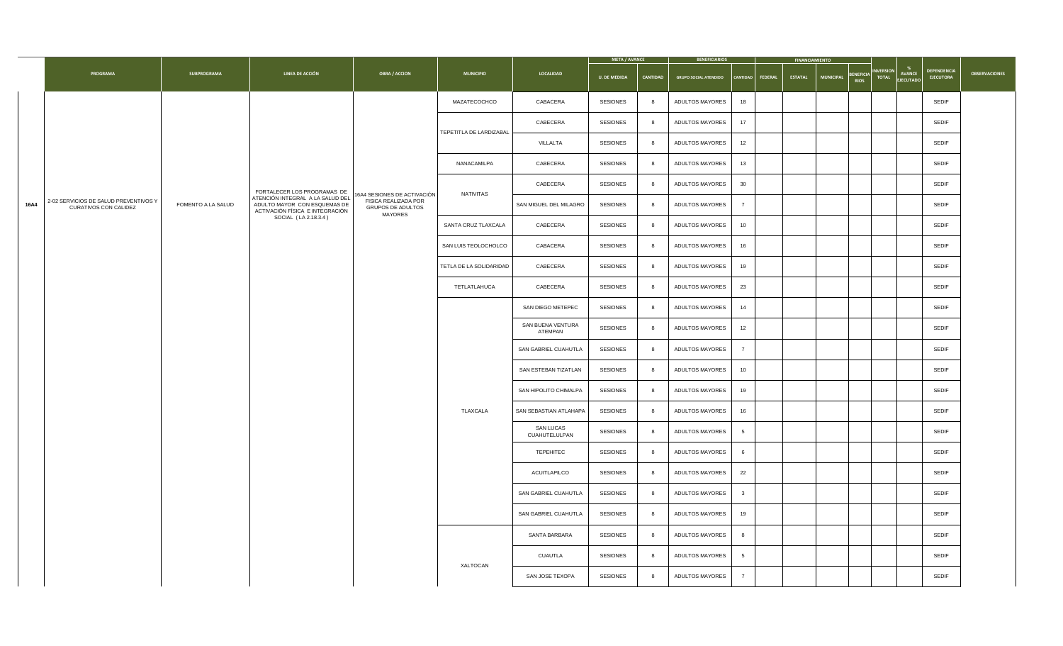| <b>DEPENDENCIA</b><br>BENEFICIA INVERSION<br><b>AVANCE</b><br><b>PROGRAMA</b><br><b>OBSERVACIONES</b><br><b>LINEA DE ACCIÓN</b><br><b>LOCALIDAD</b><br><b>SUBPROGRAMA</b><br><b>OBRA / ACCION</b><br><b>MUNICIPIO</b><br><b>EJECUTORA</b><br><b>U. DE MEDIDA</b><br><b>CANTIDAD</b><br><b>GRUPO SOCIAL ATENDIDO</b><br><b>ESTATAL</b><br><b>MUNICIPAL</b><br>  CANTIDAD   FEDERAL  <br><b>EJECUTADO</b><br><b>SESIONES</b><br><b>SEDIF</b><br>MAZATECOCHCO<br>CABACERA<br>ADULTOS MAYORES<br>18<br>CABECERA<br><b>SESIONES</b><br><b>SEDIF</b><br><b>ADULTOS MAYORES</b><br>17<br>TEPETITLA DE LARDIZABAL<br><b>SESIONES</b><br><b>SEDIF</b><br>VILLALTA<br><b>ADULTOS MAYORES</b><br>12<br>CABECERA<br><b>SESIONES</b><br><b>SEDIF</b><br>NANACAMILPA<br>ADULTOS MAYORES<br>13<br><b>SESIONES</b><br>30<br><b>SEDIF</b><br>CABECERA<br><b>ADULTOS MAYORES</b><br>FORTALECER LOS PROGRAMAS DE<br>NATIVITAS<br>16A4 SESIONES DE ACTIVACIÓN<br>ATENCIÓN INTEGRAL A LA SALUD DEL<br>2-02 SERVICIOS DE SALUD PREVENTIVOS Y<br>FISICA REALIZADA POR<br><b>16A4</b><br><b>SESIONES</b><br><b>SEDIF</b><br><b>FOMENTO A LA SALUD</b><br>ADULTO MAYOR CON ESQUEMAS DE<br>SAN MIGUEL DEL MILAGRO<br><b>ADULTOS MAYORES</b><br><b>CURATIVOS CON CALIDEZ</b><br><b>GRUPOS DE ADULTOS</b><br>ACTIVACIÓN FÍSICA E INTEGRACIÓN<br>MAYORES<br>SOCIAL (LA 2.18.3.4)<br><b>SESIONES</b><br><b>SEDIF</b><br>SANTA CRUZ TLAXCALA<br>CABECERA<br><b>ADULTOS MAYORES</b><br>10<br><b>SEDIF</b><br><b>SESIONES</b><br>SAN LUIS TEOLOCHOLCO<br>CABACERA<br><b>ADULTOS MAYORES</b><br>16<br><b>SEDIF</b><br>TETLA DE LA SOLIDARIDAD<br>CABECERA<br><b>SESIONES</b><br>ADULTOS MAYORES<br>19<br>23<br><b>SEDIF</b><br>TETLATLAHUCA<br><b>CABECERA</b><br><b>SESIONES</b><br><b>ADULTOS MAYORES</b><br><b>SEDIF</b><br>SAN DIEGO METEPEC<br><b>SESIONES</b><br><b>ADULTOS MAYORES</b><br>14<br>SAN BUENA VENTURA<br><b>SESIONES</b><br><b>SEDIF</b><br><b>ADULTOS MAYORES</b><br>12<br>ATEMPAN<br><b>SEDIF</b><br><b>SESIONES</b><br><b>SAN GABRIEL CUAHUTLA</b><br>ADULTOS MAYORES<br><b>SEDIF</b><br><b>SESIONES</b><br>SAN ESTEBAN TIZATLAN<br>ADULTOS MAYORES<br>10<br><b>SEDIF</b><br><b>SESIONES</b><br>SAN HIPOLITO CHIMALPA<br><b>ADULTOS MAYORES</b><br>19<br><b>SESIONES</b><br><b>SEDIF</b><br>TLAXCALA<br>SAN SEBASTIAN ATLAHAPA<br><b>ADULTOS MAYORES</b><br>16<br><b>SAN LUCAS</b><br><b>SESIONES</b><br><b>SEDIF</b><br><b>ADULTOS MAYORES</b><br>$5\overline{)}$<br>CUAHUTELULPAN<br><b>TEPEHITEC</b><br><b>SESIONES</b><br><b>SEDIF</b><br>ADULTOS MAYORES<br>6<br>22<br><b>SEDIF</b><br><b>SESIONES</b><br>ADULTOS MAYORES<br>ACUITLAPILCO<br><b>SEDIF</b><br><b>SESIONES</b><br>ADULTOS MAYORES<br><b>SAN GABRIEL CUAHUTLA</b><br><b>SEDIF</b><br><b>SESIONES</b><br><b>SAN GABRIEL CUAHUTLA</b><br>ADULTOS MAYORES<br>19<br><b>SEDIF</b><br><b>SESIONES</b><br>SANTA BARBARA<br>ADULTOS MAYORES<br>-8<br><b>SEDIF</b><br><b>SESIONES</b><br>ADULTOS MAYORES<br><b>CUAUTLA</b><br>$5\overline{)}$<br><b>XALTOCAN</b><br><b>SEDIF</b><br><b>SESIONES</b><br>ADULTOS MAYORES<br>SAN JOSE TEXOPA |  |  |  | <b>META / AVANCE</b> | <b>BENEFICIARIOS</b> | <b>FINANCIAMIENTO</b> |  |  |
|----------------------------------------------------------------------------------------------------------------------------------------------------------------------------------------------------------------------------------------------------------------------------------------------------------------------------------------------------------------------------------------------------------------------------------------------------------------------------------------------------------------------------------------------------------------------------------------------------------------------------------------------------------------------------------------------------------------------------------------------------------------------------------------------------------------------------------------------------------------------------------------------------------------------------------------------------------------------------------------------------------------------------------------------------------------------------------------------------------------------------------------------------------------------------------------------------------------------------------------------------------------------------------------------------------------------------------------------------------------------------------------------------------------------------------------------------------------------------------------------------------------------------------------------------------------------------------------------------------------------------------------------------------------------------------------------------------------------------------------------------------------------------------------------------------------------------------------------------------------------------------------------------------------------------------------------------------------------------------------------------------------------------------------------------------------------------------------------------------------------------------------------------------------------------------------------------------------------------------------------------------------------------------------------------------------------------------------------------------------------------------------------------------------------------------------------------------------------------------------------------------------------------------------------------------------------------------------------------------------------------------------------------------------------------------------------------------------------------------------------------------------------------------------------------------------------------------------------------------------------------------------------------------------------------------------------------------------------------------------------------------------------------------------------------------------------------------------|--|--|--|----------------------|----------------------|-----------------------|--|--|
|                                                                                                                                                                                                                                                                                                                                                                                                                                                                                                                                                                                                                                                                                                                                                                                                                                                                                                                                                                                                                                                                                                                                                                                                                                                                                                                                                                                                                                                                                                                                                                                                                                                                                                                                                                                                                                                                                                                                                                                                                                                                                                                                                                                                                                                                                                                                                                                                                                                                                                                                                                                                                                                                                                                                                                                                                                                                                                                                                                                                                                                                                        |  |  |  |                      |                      |                       |  |  |
|                                                                                                                                                                                                                                                                                                                                                                                                                                                                                                                                                                                                                                                                                                                                                                                                                                                                                                                                                                                                                                                                                                                                                                                                                                                                                                                                                                                                                                                                                                                                                                                                                                                                                                                                                                                                                                                                                                                                                                                                                                                                                                                                                                                                                                                                                                                                                                                                                                                                                                                                                                                                                                                                                                                                                                                                                                                                                                                                                                                                                                                                                        |  |  |  |                      |                      |                       |  |  |
|                                                                                                                                                                                                                                                                                                                                                                                                                                                                                                                                                                                                                                                                                                                                                                                                                                                                                                                                                                                                                                                                                                                                                                                                                                                                                                                                                                                                                                                                                                                                                                                                                                                                                                                                                                                                                                                                                                                                                                                                                                                                                                                                                                                                                                                                                                                                                                                                                                                                                                                                                                                                                                                                                                                                                                                                                                                                                                                                                                                                                                                                                        |  |  |  |                      |                      |                       |  |  |
|                                                                                                                                                                                                                                                                                                                                                                                                                                                                                                                                                                                                                                                                                                                                                                                                                                                                                                                                                                                                                                                                                                                                                                                                                                                                                                                                                                                                                                                                                                                                                                                                                                                                                                                                                                                                                                                                                                                                                                                                                                                                                                                                                                                                                                                                                                                                                                                                                                                                                                                                                                                                                                                                                                                                                                                                                                                                                                                                                                                                                                                                                        |  |  |  |                      |                      |                       |  |  |
|                                                                                                                                                                                                                                                                                                                                                                                                                                                                                                                                                                                                                                                                                                                                                                                                                                                                                                                                                                                                                                                                                                                                                                                                                                                                                                                                                                                                                                                                                                                                                                                                                                                                                                                                                                                                                                                                                                                                                                                                                                                                                                                                                                                                                                                                                                                                                                                                                                                                                                                                                                                                                                                                                                                                                                                                                                                                                                                                                                                                                                                                                        |  |  |  |                      |                      |                       |  |  |
|                                                                                                                                                                                                                                                                                                                                                                                                                                                                                                                                                                                                                                                                                                                                                                                                                                                                                                                                                                                                                                                                                                                                                                                                                                                                                                                                                                                                                                                                                                                                                                                                                                                                                                                                                                                                                                                                                                                                                                                                                                                                                                                                                                                                                                                                                                                                                                                                                                                                                                                                                                                                                                                                                                                                                                                                                                                                                                                                                                                                                                                                                        |  |  |  |                      |                      |                       |  |  |
|                                                                                                                                                                                                                                                                                                                                                                                                                                                                                                                                                                                                                                                                                                                                                                                                                                                                                                                                                                                                                                                                                                                                                                                                                                                                                                                                                                                                                                                                                                                                                                                                                                                                                                                                                                                                                                                                                                                                                                                                                                                                                                                                                                                                                                                                                                                                                                                                                                                                                                                                                                                                                                                                                                                                                                                                                                                                                                                                                                                                                                                                                        |  |  |  |                      |                      |                       |  |  |
|                                                                                                                                                                                                                                                                                                                                                                                                                                                                                                                                                                                                                                                                                                                                                                                                                                                                                                                                                                                                                                                                                                                                                                                                                                                                                                                                                                                                                                                                                                                                                                                                                                                                                                                                                                                                                                                                                                                                                                                                                                                                                                                                                                                                                                                                                                                                                                                                                                                                                                                                                                                                                                                                                                                                                                                                                                                                                                                                                                                                                                                                                        |  |  |  |                      |                      |                       |  |  |
|                                                                                                                                                                                                                                                                                                                                                                                                                                                                                                                                                                                                                                                                                                                                                                                                                                                                                                                                                                                                                                                                                                                                                                                                                                                                                                                                                                                                                                                                                                                                                                                                                                                                                                                                                                                                                                                                                                                                                                                                                                                                                                                                                                                                                                                                                                                                                                                                                                                                                                                                                                                                                                                                                                                                                                                                                                                                                                                                                                                                                                                                                        |  |  |  |                      |                      |                       |  |  |
|                                                                                                                                                                                                                                                                                                                                                                                                                                                                                                                                                                                                                                                                                                                                                                                                                                                                                                                                                                                                                                                                                                                                                                                                                                                                                                                                                                                                                                                                                                                                                                                                                                                                                                                                                                                                                                                                                                                                                                                                                                                                                                                                                                                                                                                                                                                                                                                                                                                                                                                                                                                                                                                                                                                                                                                                                                                                                                                                                                                                                                                                                        |  |  |  |                      |                      |                       |  |  |
|                                                                                                                                                                                                                                                                                                                                                                                                                                                                                                                                                                                                                                                                                                                                                                                                                                                                                                                                                                                                                                                                                                                                                                                                                                                                                                                                                                                                                                                                                                                                                                                                                                                                                                                                                                                                                                                                                                                                                                                                                                                                                                                                                                                                                                                                                                                                                                                                                                                                                                                                                                                                                                                                                                                                                                                                                                                                                                                                                                                                                                                                                        |  |  |  |                      |                      |                       |  |  |
|                                                                                                                                                                                                                                                                                                                                                                                                                                                                                                                                                                                                                                                                                                                                                                                                                                                                                                                                                                                                                                                                                                                                                                                                                                                                                                                                                                                                                                                                                                                                                                                                                                                                                                                                                                                                                                                                                                                                                                                                                                                                                                                                                                                                                                                                                                                                                                                                                                                                                                                                                                                                                                                                                                                                                                                                                                                                                                                                                                                                                                                                                        |  |  |  |                      |                      |                       |  |  |
|                                                                                                                                                                                                                                                                                                                                                                                                                                                                                                                                                                                                                                                                                                                                                                                                                                                                                                                                                                                                                                                                                                                                                                                                                                                                                                                                                                                                                                                                                                                                                                                                                                                                                                                                                                                                                                                                                                                                                                                                                                                                                                                                                                                                                                                                                                                                                                                                                                                                                                                                                                                                                                                                                                                                                                                                                                                                                                                                                                                                                                                                                        |  |  |  |                      |                      |                       |  |  |
|                                                                                                                                                                                                                                                                                                                                                                                                                                                                                                                                                                                                                                                                                                                                                                                                                                                                                                                                                                                                                                                                                                                                                                                                                                                                                                                                                                                                                                                                                                                                                                                                                                                                                                                                                                                                                                                                                                                                                                                                                                                                                                                                                                                                                                                                                                                                                                                                                                                                                                                                                                                                                                                                                                                                                                                                                                                                                                                                                                                                                                                                                        |  |  |  |                      |                      |                       |  |  |
|                                                                                                                                                                                                                                                                                                                                                                                                                                                                                                                                                                                                                                                                                                                                                                                                                                                                                                                                                                                                                                                                                                                                                                                                                                                                                                                                                                                                                                                                                                                                                                                                                                                                                                                                                                                                                                                                                                                                                                                                                                                                                                                                                                                                                                                                                                                                                                                                                                                                                                                                                                                                                                                                                                                                                                                                                                                                                                                                                                                                                                                                                        |  |  |  |                      |                      |                       |  |  |
|                                                                                                                                                                                                                                                                                                                                                                                                                                                                                                                                                                                                                                                                                                                                                                                                                                                                                                                                                                                                                                                                                                                                                                                                                                                                                                                                                                                                                                                                                                                                                                                                                                                                                                                                                                                                                                                                                                                                                                                                                                                                                                                                                                                                                                                                                                                                                                                                                                                                                                                                                                                                                                                                                                                                                                                                                                                                                                                                                                                                                                                                                        |  |  |  |                      |                      |                       |  |  |
|                                                                                                                                                                                                                                                                                                                                                                                                                                                                                                                                                                                                                                                                                                                                                                                                                                                                                                                                                                                                                                                                                                                                                                                                                                                                                                                                                                                                                                                                                                                                                                                                                                                                                                                                                                                                                                                                                                                                                                                                                                                                                                                                                                                                                                                                                                                                                                                                                                                                                                                                                                                                                                                                                                                                                                                                                                                                                                                                                                                                                                                                                        |  |  |  |                      |                      |                       |  |  |
|                                                                                                                                                                                                                                                                                                                                                                                                                                                                                                                                                                                                                                                                                                                                                                                                                                                                                                                                                                                                                                                                                                                                                                                                                                                                                                                                                                                                                                                                                                                                                                                                                                                                                                                                                                                                                                                                                                                                                                                                                                                                                                                                                                                                                                                                                                                                                                                                                                                                                                                                                                                                                                                                                                                                                                                                                                                                                                                                                                                                                                                                                        |  |  |  |                      |                      |                       |  |  |
|                                                                                                                                                                                                                                                                                                                                                                                                                                                                                                                                                                                                                                                                                                                                                                                                                                                                                                                                                                                                                                                                                                                                                                                                                                                                                                                                                                                                                                                                                                                                                                                                                                                                                                                                                                                                                                                                                                                                                                                                                                                                                                                                                                                                                                                                                                                                                                                                                                                                                                                                                                                                                                                                                                                                                                                                                                                                                                                                                                                                                                                                                        |  |  |  |                      |                      |                       |  |  |
|                                                                                                                                                                                                                                                                                                                                                                                                                                                                                                                                                                                                                                                                                                                                                                                                                                                                                                                                                                                                                                                                                                                                                                                                                                                                                                                                                                                                                                                                                                                                                                                                                                                                                                                                                                                                                                                                                                                                                                                                                                                                                                                                                                                                                                                                                                                                                                                                                                                                                                                                                                                                                                                                                                                                                                                                                                                                                                                                                                                                                                                                                        |  |  |  |                      |                      |                       |  |  |
|                                                                                                                                                                                                                                                                                                                                                                                                                                                                                                                                                                                                                                                                                                                                                                                                                                                                                                                                                                                                                                                                                                                                                                                                                                                                                                                                                                                                                                                                                                                                                                                                                                                                                                                                                                                                                                                                                                                                                                                                                                                                                                                                                                                                                                                                                                                                                                                                                                                                                                                                                                                                                                                                                                                                                                                                                                                                                                                                                                                                                                                                                        |  |  |  |                      |                      |                       |  |  |
|                                                                                                                                                                                                                                                                                                                                                                                                                                                                                                                                                                                                                                                                                                                                                                                                                                                                                                                                                                                                                                                                                                                                                                                                                                                                                                                                                                                                                                                                                                                                                                                                                                                                                                                                                                                                                                                                                                                                                                                                                                                                                                                                                                                                                                                                                                                                                                                                                                                                                                                                                                                                                                                                                                                                                                                                                                                                                                                                                                                                                                                                                        |  |  |  |                      |                      |                       |  |  |
|                                                                                                                                                                                                                                                                                                                                                                                                                                                                                                                                                                                                                                                                                                                                                                                                                                                                                                                                                                                                                                                                                                                                                                                                                                                                                                                                                                                                                                                                                                                                                                                                                                                                                                                                                                                                                                                                                                                                                                                                                                                                                                                                                                                                                                                                                                                                                                                                                                                                                                                                                                                                                                                                                                                                                                                                                                                                                                                                                                                                                                                                                        |  |  |  |                      |                      |                       |  |  |
|                                                                                                                                                                                                                                                                                                                                                                                                                                                                                                                                                                                                                                                                                                                                                                                                                                                                                                                                                                                                                                                                                                                                                                                                                                                                                                                                                                                                                                                                                                                                                                                                                                                                                                                                                                                                                                                                                                                                                                                                                                                                                                                                                                                                                                                                                                                                                                                                                                                                                                                                                                                                                                                                                                                                                                                                                                                                                                                                                                                                                                                                                        |  |  |  |                      |                      |                       |  |  |
|                                                                                                                                                                                                                                                                                                                                                                                                                                                                                                                                                                                                                                                                                                                                                                                                                                                                                                                                                                                                                                                                                                                                                                                                                                                                                                                                                                                                                                                                                                                                                                                                                                                                                                                                                                                                                                                                                                                                                                                                                                                                                                                                                                                                                                                                                                                                                                                                                                                                                                                                                                                                                                                                                                                                                                                                                                                                                                                                                                                                                                                                                        |  |  |  |                      |                      |                       |  |  |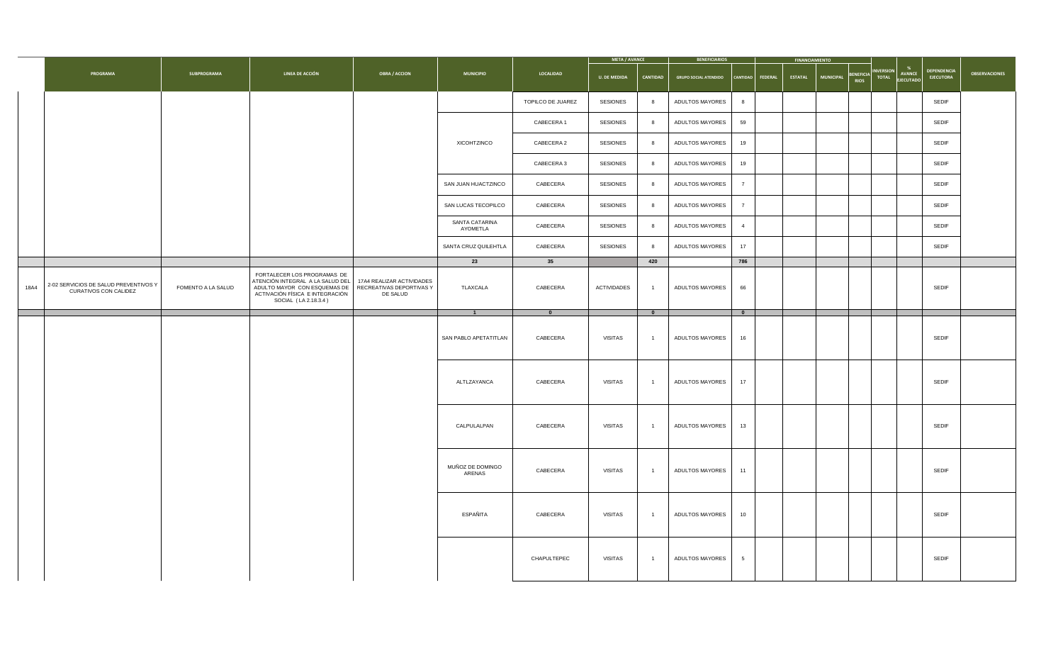|      |                                                                       |                           |                                                                                                                                                            |                                                                   |                                          |                          | <b>META / AVANCE</b> |                          | <b>BENEFICIARIOS</b>         |                          | <b>FINANCIAMIENTO</b> |                               |                                                        |                      |
|------|-----------------------------------------------------------------------|---------------------------|------------------------------------------------------------------------------------------------------------------------------------------------------------|-------------------------------------------------------------------|------------------------------------------|--------------------------|----------------------|--------------------------|------------------------------|--------------------------|-----------------------|-------------------------------|--------------------------------------------------------|----------------------|
|      | <b>PROGRAMA</b>                                                       | <b>SUBPROGRAMA</b>        | <b>LINEA DE ACCIÓN</b>                                                                                                                                     | <b>OBRA / ACCION</b>                                              | <b>MUNICIPIO</b>                         | LOCALIDAD                | <b>U. DE MEDIDA</b>  | <b>CANTIDAD</b>          | <b>GRUPO SOCIAL ATENDIDO</b> | $ $ Cantidad $ $ Federal | <b>ESTATAL</b>        | MUNICIPAL BENEFICIA INVERSION | <b>DEPENDENCIA</b><br>TOTAL AVANCE<br><b>EJECUTORA</b> | <b>OBSERVACIONES</b> |
|      |                                                                       |                           |                                                                                                                                                            |                                                                   |                                          | <b>TOPILCO DE JUAREZ</b> | <b>SESIONES</b>      |                          | <b>ADULTOS MAYORES</b>       |                          |                       |                               | <b>SEDIF</b>                                           |                      |
|      |                                                                       |                           |                                                                                                                                                            |                                                                   |                                          | <b>CABECERA1</b>         | <b>SESIONES</b>      |                          | <b>ADULTOS MAYORES</b>       | 59                       |                       |                               | <b>SEDIF</b>                                           |                      |
|      |                                                                       |                           |                                                                                                                                                            |                                                                   | XICOHTZINCO                              | <b>CABECERA 2</b>        | <b>SESIONES</b>      |                          | <b>ADULTOS MAYORES</b>       | 19                       |                       |                               | <b>SEDIF</b>                                           |                      |
|      |                                                                       |                           |                                                                                                                                                            |                                                                   |                                          | CABECERA 3               | <b>SESIONES</b>      |                          | <b>ADULTOS MAYORES</b>       | 19                       |                       |                               | <b>SEDIF</b>                                           |                      |
|      |                                                                       |                           |                                                                                                                                                            |                                                                   | SAN JUAN HUACTZINCO                      | CABECERA                 | <b>SESIONES</b>      |                          | <b>ADULTOS MAYORES</b>       | $\overline{z}$           |                       |                               | <b>SEDIF</b>                                           |                      |
|      |                                                                       |                           |                                                                                                                                                            |                                                                   | SAN LUCAS TECOPILCO                      | CABECERA                 | <b>SESIONES</b>      |                          | <b>ADULTOS MAYORES</b>       | $\overline{7}$           |                       |                               | <b>SEDIF</b>                                           |                      |
|      |                                                                       |                           |                                                                                                                                                            |                                                                   | <b>SANTA CATARINA</b><br><b>AYOMETLA</b> | CABECERA                 | <b>SESIONES</b>      |                          | <b>ADULTOS MAYORES</b>       | $\overline{4}$           |                       |                               | <b>SEDIF</b>                                           |                      |
|      |                                                                       |                           |                                                                                                                                                            |                                                                   | SANTA CRUZ QUILEHTLA                     | CABECERA                 | <b>SESIONES</b>      |                          | ADULTOS MAYORES              | 17                       |                       |                               | <b>SEDIF</b>                                           |                      |
|      |                                                                       |                           |                                                                                                                                                            |                                                                   | 23                                       | 35                       |                      | 420                      |                              | 786                      |                       |                               |                                                        |                      |
| 18A4 | 2-02 SERVICIOS DE SALUD PREVENTIVOS Y<br><b>CURATIVOS CON CALIDEZ</b> | <b>FOMENTO A LA SALUD</b> | FORTALECER LOS PROGRAMAS DE<br>ATENCIÓN INTEGRAL A LA SALUD DEL<br>ADULTO MAYOR CON ESQUEMAS DE<br>ACTIVACIÓN FÍSICA E INTEGRACIÓN<br>SOCIAL (LA 2.18.3.4) | 17A4 REALIZAR ACTIVIDADES<br>RECREATIVAS DEPORTIVAS Y<br>DE SALUD | TLAXCALA                                 | CABECERA                 | <b>ACTIVIDADES</b>   | $\overline{\phantom{0}}$ | <b>ADULTOS MAYORES</b>       | 66                       |                       |                               | <b>SEDIF</b>                                           |                      |
|      |                                                                       |                           |                                                                                                                                                            |                                                                   |                                          | $\mathbf{0}$             |                      | <u>n</u>                 |                              | $\overline{\mathbf{0}}$  |                       |                               |                                                        |                      |
|      |                                                                       |                           |                                                                                                                                                            |                                                                   | SAN PABLO APETATITLAN                    | CABECERA                 | <b>VISITAS</b>       | $\overline{\mathbf{1}}$  | <b>ADULTOS MAYORES</b>       | 16                       |                       |                               | <b>SEDIF</b>                                           |                      |
|      |                                                                       |                           |                                                                                                                                                            |                                                                   | ALTLZAYANCA                              | CABECERA                 | <b>VISITAS</b>       | $\overline{\mathbf{1}}$  | <b>ADULTOS MAYORES</b>       | 17                       |                       |                               | <b>SEDIF</b>                                           |                      |
|      |                                                                       |                           |                                                                                                                                                            |                                                                   | CALPULALPAN                              | CABECERA                 | <b>VISITAS</b>       | $\overline{\mathbf{1}}$  | <b>ADULTOS MAYORES</b>       | 13                       |                       |                               | <b>SEDIF</b>                                           |                      |
|      |                                                                       |                           |                                                                                                                                                            |                                                                   | MUÑOZ DE DOMINGO<br>ARENAS               | CABECERA                 | <b>VISITAS</b>       | $\overline{\mathbf{1}}$  | <b>ADULTOS MAYORES</b>       | 11                       |                       |                               | <b>SEDIF</b>                                           |                      |
|      |                                                                       |                           |                                                                                                                                                            |                                                                   | ESPAÑITA                                 | CABECERA                 | <b>VISITAS</b>       | - 1                      | <b>ADULTOS MAYORES</b>       | 10                       |                       |                               | <b>SEDIF</b>                                           |                      |
|      |                                                                       |                           |                                                                                                                                                            |                                                                   |                                          | CHAPULTEPEC              | <b>VISITAS</b>       | $\overline{\mathbf{1}}$  | <b>ADULTOS MAYORES</b>       | $5\overline{)}$          |                       |                               | <b>SEDIF</b>                                           |                      |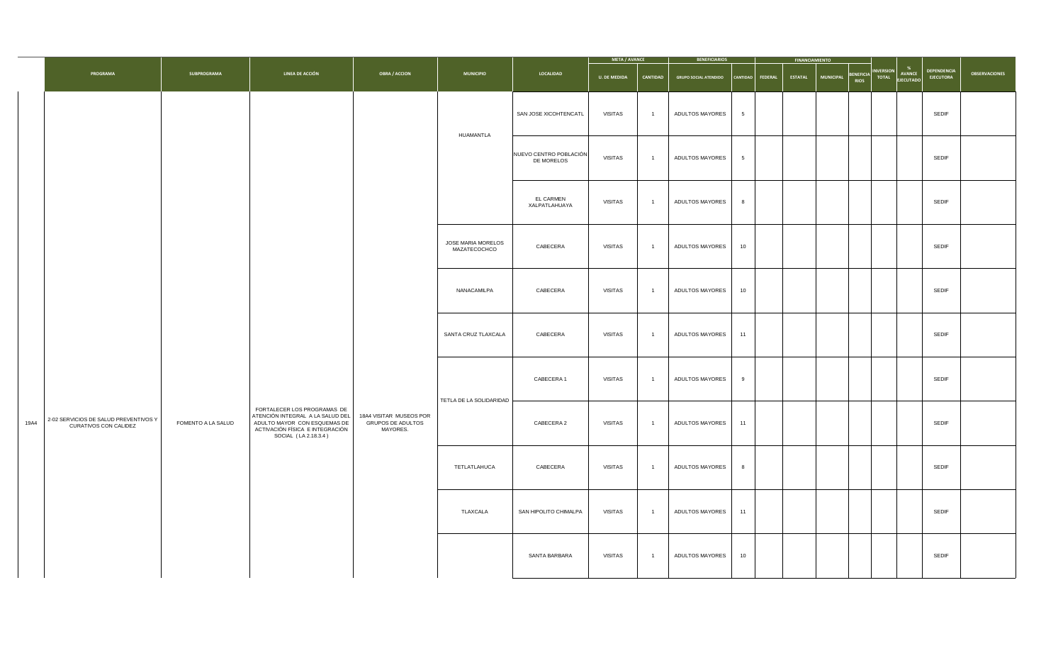|      |                                                                       |                    |                                                                                                                                                            |                                                                 |                                           |                                      | <b>META / AVANCE</b> |                 | <b>BENEFICIARIOS</b>         |                    | <b>FINANCIAMIENTO</b>                                                  |                                               |                                        |                      |
|------|-----------------------------------------------------------------------|--------------------|------------------------------------------------------------------------------------------------------------------------------------------------------------|-----------------------------------------------------------------|-------------------------------------------|--------------------------------------|----------------------|-----------------|------------------------------|--------------------|------------------------------------------------------------------------|-----------------------------------------------|----------------------------------------|----------------------|
|      | <b>PROGRAMA</b>                                                       | <b>SUBPROGRAMA</b> | <b>LINEA DE ACCIÓN</b>                                                                                                                                     | <b>OBRA / ACCION</b>                                            | <b>MUNICIPIO</b>                          | LOCALIDAD                            | <b>U. DE MEDIDA</b>  | <b>CANTIDAD</b> | <b>GRUPO SOCIAL ATENDIDO</b> | CANTIDAD   FEDERAL | BENEFICIA <sup>"</sup><br>  RIOS<br><b>ESTATAL</b><br><b>MUNICIPAL</b> | INVERSION<br><b>AVANCE</b><br>TOTAL EJECUTADO | <b>DEPENDENCIA</b><br><b>EJECUTORA</b> | <b>OBSERVACIONES</b> |
|      |                                                                       |                    |                                                                                                                                                            |                                                                 | HUAMANTLA                                 | SAN JOSE XICOHTENCATL                | <b>VISITAS</b>       |                 | <b>ADULTOS MAYORES</b>       | $5\overline{)}$    |                                                                        |                                               | <b>SEDIF</b>                           |                      |
|      |                                                                       |                    |                                                                                                                                                            |                                                                 |                                           | NUEVO CENTRO POBLACIÓN<br>DE MORELOS | <b>VISITAS</b>       |                 | <b>ADULTOS MAYORES</b>       | $5\overline{)}$    |                                                                        |                                               | <b>SEDIF</b>                           |                      |
|      |                                                                       |                    |                                                                                                                                                            |                                                                 |                                           | <b>EL CARMEN</b><br>XALPATLAHUAYA    | <b>VISITAS</b>       |                 | <b>ADULTOS MAYORES</b>       |                    |                                                                        |                                               | <b>SEDIF</b>                           |                      |
|      |                                                                       |                    |                                                                                                                                                            |                                                                 | <b>JOSE MARIA MORELOS</b><br>MAZATECOCHCO | CABECERA                             | <b>VISITAS</b>       |                 | ADULTOS MAYORES              | 10                 |                                                                        |                                               | <b>SEDIF</b>                           |                      |
|      |                                                                       |                    |                                                                                                                                                            |                                                                 | NANACAMILPA                               | CABECERA                             | <b>VISITAS</b>       |                 | <b>ADULTOS MAYORES</b>       | 10                 |                                                                        |                                               | <b>SEDIF</b>                           |                      |
|      |                                                                       |                    |                                                                                                                                                            |                                                                 | SANTA CRUZ TLAXCALA                       | CABECERA                             | <b>VISITAS</b>       |                 | <b>ADULTOS MAYORES</b>       | 11                 |                                                                        |                                               | <b>SEDIF</b>                           |                      |
|      |                                                                       |                    |                                                                                                                                                            |                                                                 |                                           | <b>CABECERA 1</b>                    | <b>VISITAS</b>       |                 | <b>ADULTOS MAYORES</b>       | 9                  |                                                                        |                                               | <b>SEDIF</b>                           |                      |
| 19A4 | 2-02 SERVICIOS DE SALUD PREVENTIVOS Y<br><b>CURATIVOS CON CALIDEZ</b> | FOMENTO A LA SALUD | FORTALECER LOS PROGRAMAS DE<br>ATENCIÓN INTEGRAL A LA SALUD DEL<br>ADULTO MAYOR CON ESQUEMAS DE<br>ACTIVACIÓN FÍSICA E INTEGRACIÓN<br>SOCIAL (LA 2.18.3.4) | 18A4 VISITAR MUSEOS POR<br><b>GRUPOS DE ADULTOS</b><br>MAYORES. | TETLA DE LA SOLIDARIDAD                   | <b>CABECERA 2</b>                    | <b>VISITAS</b>       |                 | <b>ADULTOS MAYORES</b>       | 11                 |                                                                        |                                               | <b>SEDIF</b>                           |                      |
|      |                                                                       |                    |                                                                                                                                                            |                                                                 | TETLATLAHUCA                              | CABECERA                             | <b>VISITAS</b>       |                 | ADULTOS MAYORES              | 8 <sup>8</sup>     |                                                                        |                                               | <b>SEDIF</b>                           |                      |
|      |                                                                       |                    |                                                                                                                                                            |                                                                 | <b>TLAXCALA</b>                           | SAN HIPOLITO CHIMALPA                | <b>VISITAS</b>       | $\sim 10^4$     | ADULTOS MAYORES              | 11                 |                                                                        |                                               | <b>SEDIF</b>                           |                      |
|      |                                                                       |                    |                                                                                                                                                            |                                                                 |                                           | SANTA BARBARA                        | <b>VISITAS</b>       | $\sim 10^4$     | ADULTOS MAYORES              | 10                 |                                                                        |                                               | <b>SEDIF</b>                           |                      |